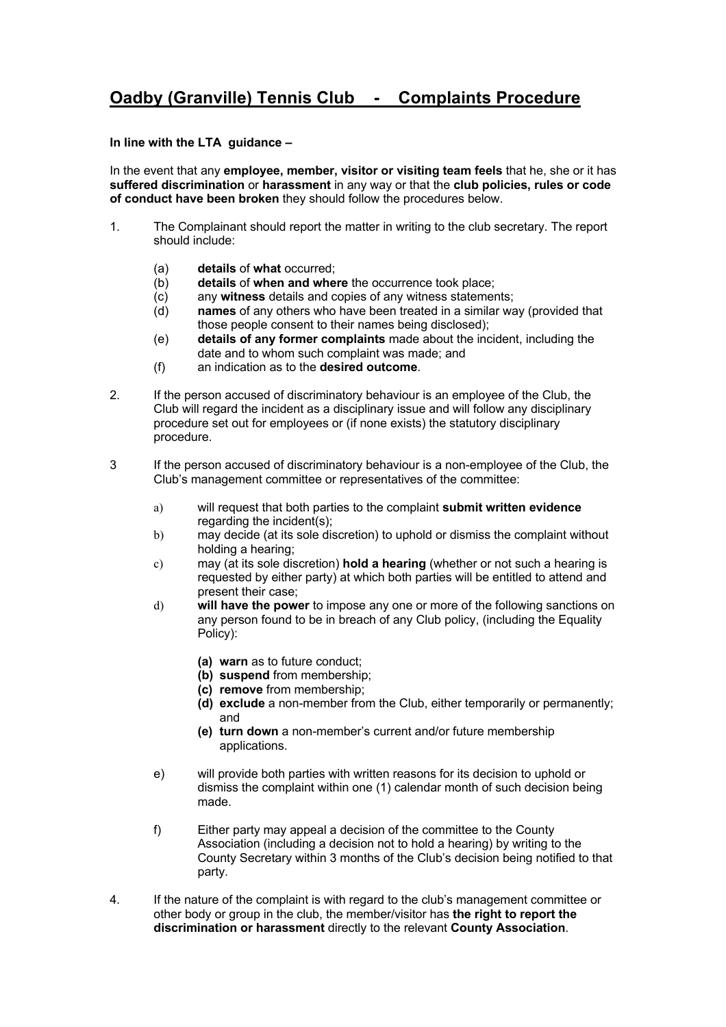## **Oadby (Granville) Tennis Club - Complaints Procedure**

## **In line with the LTA guidance –**

In the event that any **employee, member, visitor or visiting team feels** that he, she or it has **suffered discrimination** or **harassment** in any way or that the **club policies, rules or code of conduct have been broken** they should follow the procedures below.

- 1. The Complainant should report the matter in writing to the club secretary. The report should include:
	- (a) **details** of **what** occurred;
	- (b) **details** of **when and where** the occurrence took place;
	- (c) any **witness** details and copies of any witness statements;
	- (d) **names** of any others who have been treated in a similar way (provided that those people consent to their names being disclosed);
	- (e) **details of any former complaints** made about the incident, including the date and to whom such complaint was made; and
	- (f) an indication as to the **desired outcome**.
- 2. If the person accused of discriminatory behaviour is an employee of the Club, the Club will regard the incident as a disciplinary issue and will follow any disciplinary procedure set out for employees or (if none exists) the statutory disciplinary procedure.
- 3 If the person accused of discriminatory behaviour is a non-employee of the Club, the Club's management committee or representatives of the committee:
	- a) will request that both parties to the complaint **submit written evidence** regarding the incident(s);
	- b) may decide (at its sole discretion) to uphold or dismiss the complaint without holding a hearing;
	- c) may (at its sole discretion) **hold a hearing** (whether or not such a hearing is requested by either party) at which both parties will be entitled to attend and present their case;
	- d) **will have the power** to impose any one or more of the following sanctions on any person found to be in breach of any Club policy, (including the Equality Policy):
		- **(a) warn** as to future conduct;
		- **(b) suspend** from membership;
		- **(c) remove** from membership;
		- **(d) exclude** a non-member from the Club, either temporarily or permanently; and
		- **(e) turn down** a non-member's current and/or future membership applications.
	- e) will provide both parties with written reasons for its decision to uphold or dismiss the complaint within one (1) calendar month of such decision being made.
	- f) Either party may appeal a decision of the committee to the County Association (including a decision not to hold a hearing) by writing to the County Secretary within 3 months of the Club's decision being notified to that party.
- 4. If the nature of the complaint is with regard to the club's management committee or other body or group in the club, the member/visitor has **the right to report the discrimination or harassment** directly to the relevant **County Association**.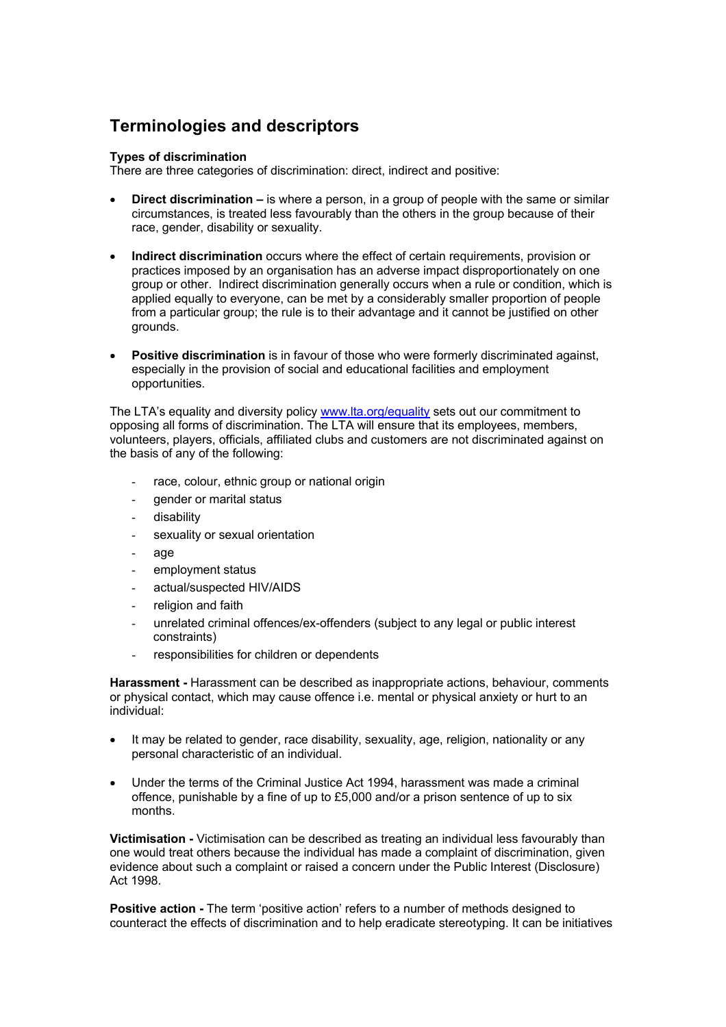## **Terminologies and descriptors**

## **Types of discrimination**

There are three categories of discrimination: direct, indirect and positive:

- **Direct discrimination –** is where a person, in a group of people with the same or similar circumstances, is treated less favourably than the others in the group because of their race, gender, disability or sexuality.
- **Indirect discrimination** occurs where the effect of certain requirements, provision or practices imposed by an organisation has an adverse impact disproportionately on one group or other. Indirect discrimination generally occurs when a rule or condition, which is applied equally to everyone, can be met by a considerably smaller proportion of people from a particular group; the rule is to their advantage and it cannot be justified on other grounds.
- **Positive discrimination** is in favour of those who were formerly discriminated against, especially in the provision of social and educational facilities and employment opportunities.

The LTA's equality and diversity policy www.lta.org/equality sets out our commitment to opposing all forms of discrimination. The LTA will ensure that its employees, members, volunteers, players, officials, affiliated clubs and customers are not discriminated against on the basis of any of the following:

- race, colour, ethnic group or national origin
- gender or marital status
- disability
- sexuality or sexual orientation
- age
- employment status
- actual/suspected HIV/AIDS
- religion and faith
- unrelated criminal offences/ex-offenders (subject to any legal or public interest constraints)
- responsibilities for children or dependents

**Harassment -** Harassment can be described as inappropriate actions, behaviour, comments or physical contact, which may cause offence i.e. mental or physical anxiety or hurt to an individual:

- It may be related to gender, race disability, sexuality, age, religion, nationality or any personal characteristic of an individual.
- Under the terms of the Criminal Justice Act 1994, harassment was made a criminal offence, punishable by a fine of up to £5,000 and/or a prison sentence of up to six months.

**Victimisation -** Victimisation can be described as treating an individual less favourably than one would treat others because the individual has made a complaint of discrimination, given evidence about such a complaint or raised a concern under the Public Interest (Disclosure) Act 1998.

**Positive action -** The term 'positive action' refers to a number of methods designed to counteract the effects of discrimination and to help eradicate stereotyping. It can be initiatives